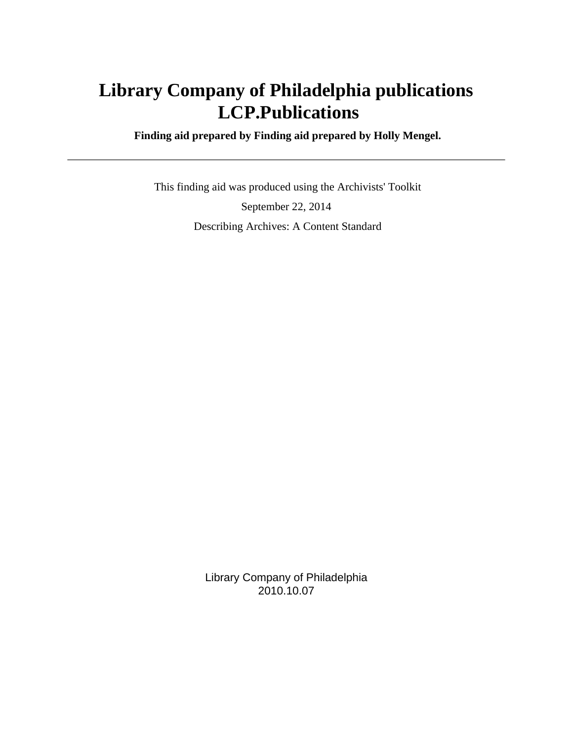# **Library Company of Philadelphia publications LCP.Publications**

 **Finding aid prepared by Finding aid prepared by Holly Mengel.**

 This finding aid was produced using the Archivists' Toolkit September 22, 2014 Describing Archives: A Content Standard

> Library Company of Philadelphia 2010.10.07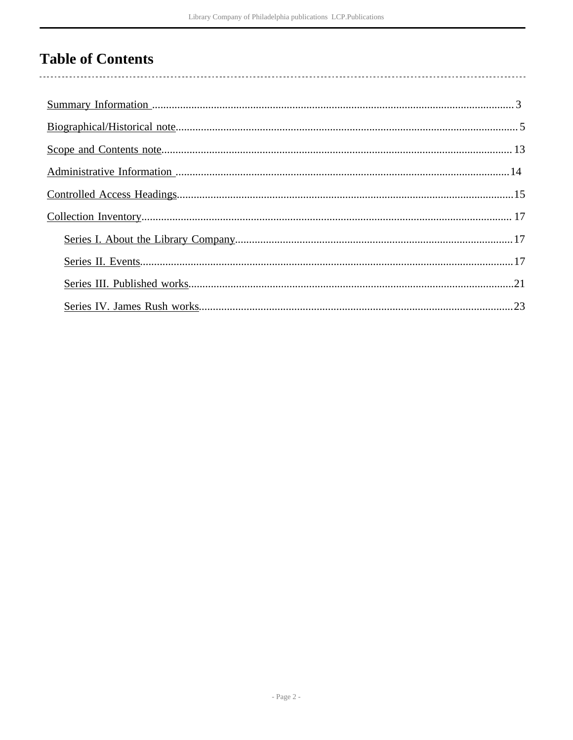## **Table of Contents**

 $\overline{\phantom{a}}$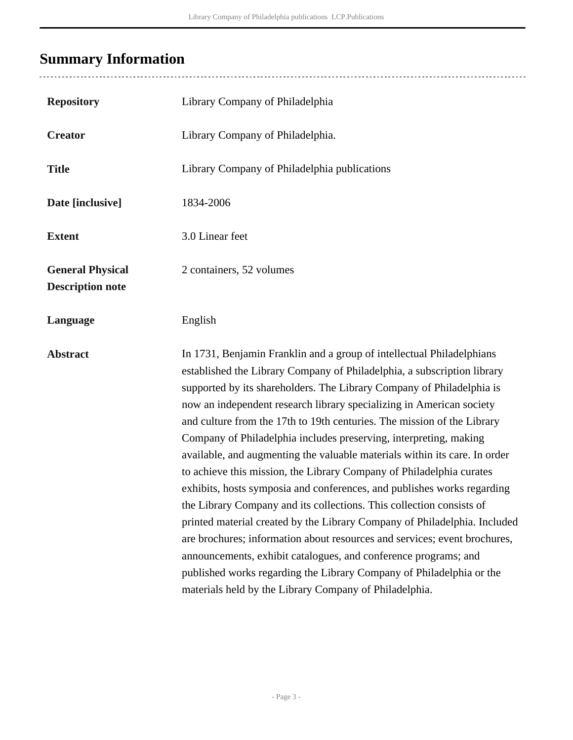# <span id="page-2-0"></span>**Summary Information**

| <b>Repository</b>                                  | Library Company of Philadelphia                                                                                                                                                                                                                                                                                                                                                                                                                                                                                                                                                                                                                                                                                                                                                                                                                                                                                                                                                                                                                                                                                           |
|----------------------------------------------------|---------------------------------------------------------------------------------------------------------------------------------------------------------------------------------------------------------------------------------------------------------------------------------------------------------------------------------------------------------------------------------------------------------------------------------------------------------------------------------------------------------------------------------------------------------------------------------------------------------------------------------------------------------------------------------------------------------------------------------------------------------------------------------------------------------------------------------------------------------------------------------------------------------------------------------------------------------------------------------------------------------------------------------------------------------------------------------------------------------------------------|
| <b>Creator</b>                                     | Library Company of Philadelphia.                                                                                                                                                                                                                                                                                                                                                                                                                                                                                                                                                                                                                                                                                                                                                                                                                                                                                                                                                                                                                                                                                          |
| <b>Title</b>                                       | Library Company of Philadelphia publications                                                                                                                                                                                                                                                                                                                                                                                                                                                                                                                                                                                                                                                                                                                                                                                                                                                                                                                                                                                                                                                                              |
| Date [inclusive]                                   | 1834-2006                                                                                                                                                                                                                                                                                                                                                                                                                                                                                                                                                                                                                                                                                                                                                                                                                                                                                                                                                                                                                                                                                                                 |
| <b>Extent</b>                                      | 3.0 Linear feet                                                                                                                                                                                                                                                                                                                                                                                                                                                                                                                                                                                                                                                                                                                                                                                                                                                                                                                                                                                                                                                                                                           |
| <b>General Physical</b><br><b>Description note</b> | 2 containers, 52 volumes                                                                                                                                                                                                                                                                                                                                                                                                                                                                                                                                                                                                                                                                                                                                                                                                                                                                                                                                                                                                                                                                                                  |
| Language                                           | English                                                                                                                                                                                                                                                                                                                                                                                                                                                                                                                                                                                                                                                                                                                                                                                                                                                                                                                                                                                                                                                                                                                   |
| <b>Abstract</b>                                    | In 1731, Benjamin Franklin and a group of intellectual Philadelphians<br>established the Library Company of Philadelphia, a subscription library<br>supported by its shareholders. The Library Company of Philadelphia is<br>now an independent research library specializing in American society<br>and culture from the 17th to 19th centuries. The mission of the Library<br>Company of Philadelphia includes preserving, interpreting, making<br>available, and augmenting the valuable materials within its care. In order<br>to achieve this mission, the Library Company of Philadelphia curates<br>exhibits, hosts symposia and conferences, and publishes works regarding<br>the Library Company and its collections. This collection consists of<br>printed material created by the Library Company of Philadelphia. Included<br>are brochures; information about resources and services; event brochures,<br>announcements, exhibit catalogues, and conference programs; and<br>published works regarding the Library Company of Philadelphia or the<br>materials held by the Library Company of Philadelphia. |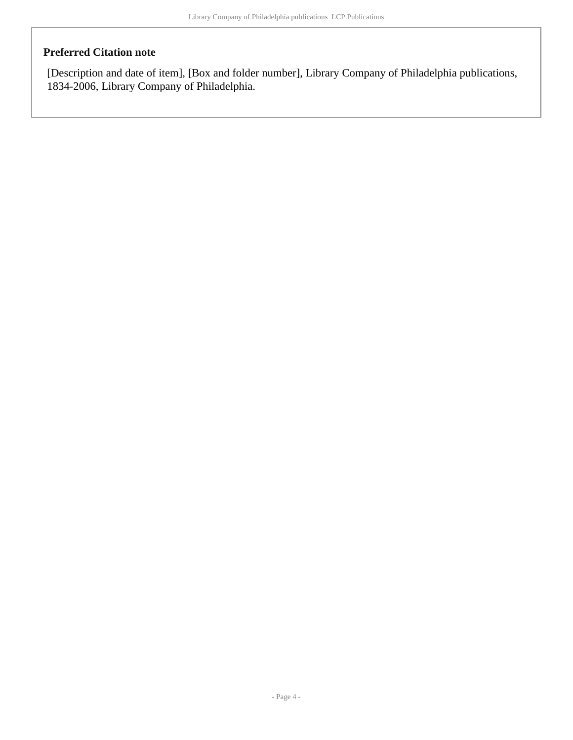#### **Preferred Citation note**

[Description and date of item], [Box and folder number], Library Company of Philadelphia publications, 1834-2006, Library Company of Philadelphia.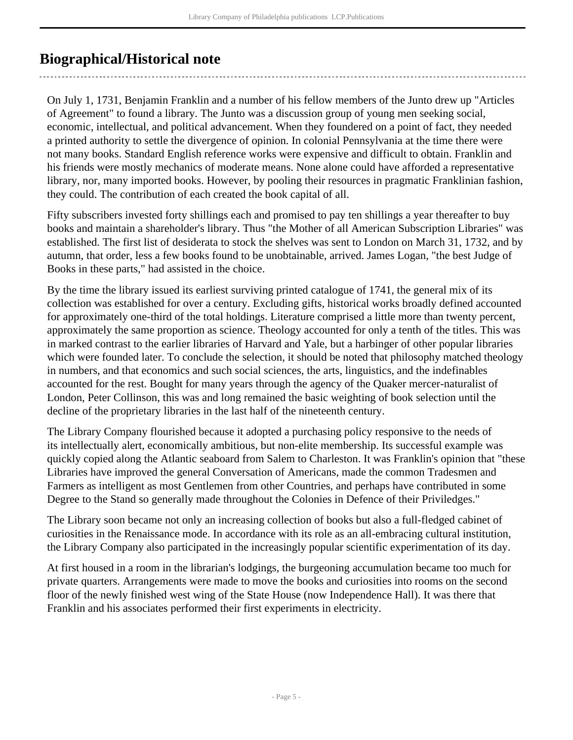## <span id="page-4-0"></span>**Biographical/Historical note**

On July 1, 1731, Benjamin Franklin and a number of his fellow members of the Junto drew up "Articles of Agreement" to found a library. The Junto was a discussion group of young men seeking social, economic, intellectual, and political advancement. When they foundered on a point of fact, they needed a printed authority to settle the divergence of opinion. In colonial Pennsylvania at the time there were not many books. Standard English reference works were expensive and difficult to obtain. Franklin and his friends were mostly mechanics of moderate means. None alone could have afforded a representative library, nor, many imported books. However, by pooling their resources in pragmatic Franklinian fashion, they could. The contribution of each created the book capital of all.

Fifty subscribers invested forty shillings each and promised to pay ten shillings a year thereafter to buy books and maintain a shareholder's library. Thus "the Mother of all American Subscription Libraries" was established. The first list of desiderata to stock the shelves was sent to London on March 31, 1732, and by autumn, that order, less a few books found to be unobtainable, arrived. James Logan, "the best Judge of Books in these parts," had assisted in the choice.

By the time the library issued its earliest surviving printed catalogue of 1741, the general mix of its collection was established for over a century. Excluding gifts, historical works broadly defined accounted for approximately one-third of the total holdings. Literature comprised a little more than twenty percent, approximately the same proportion as science. Theology accounted for only a tenth of the titles. This was in marked contrast to the earlier libraries of Harvard and Yale, but a harbinger of other popular libraries which were founded later. To conclude the selection, it should be noted that philosophy matched theology in numbers, and that economics and such social sciences, the arts, linguistics, and the indefinables accounted for the rest. Bought for many years through the agency of the Quaker mercer-naturalist of London, Peter Collinson, this was and long remained the basic weighting of book selection until the decline of the proprietary libraries in the last half of the nineteenth century.

The Library Company flourished because it adopted a purchasing policy responsive to the needs of its intellectually alert, economically ambitious, but non-elite membership. Its successful example was quickly copied along the Atlantic seaboard from Salem to Charleston. It was Franklin's opinion that "these Libraries have improved the general Conversation of Americans, made the common Tradesmen and Farmers as intelligent as most Gentlemen from other Countries, and perhaps have contributed in some Degree to the Stand so generally made throughout the Colonies in Defence of their Priviledges."

The Library soon became not only an increasing collection of books but also a full-fledged cabinet of curiosities in the Renaissance mode. In accordance with its role as an all-embracing cultural institution, the Library Company also participated in the increasingly popular scientific experimentation of its day.

At first housed in a room in the librarian's lodgings, the burgeoning accumulation became too much for private quarters. Arrangements were made to move the books and curiosities into rooms on the second floor of the newly finished west wing of the State House (now Independence Hall). It was there that Franklin and his associates performed their first experiments in electricity.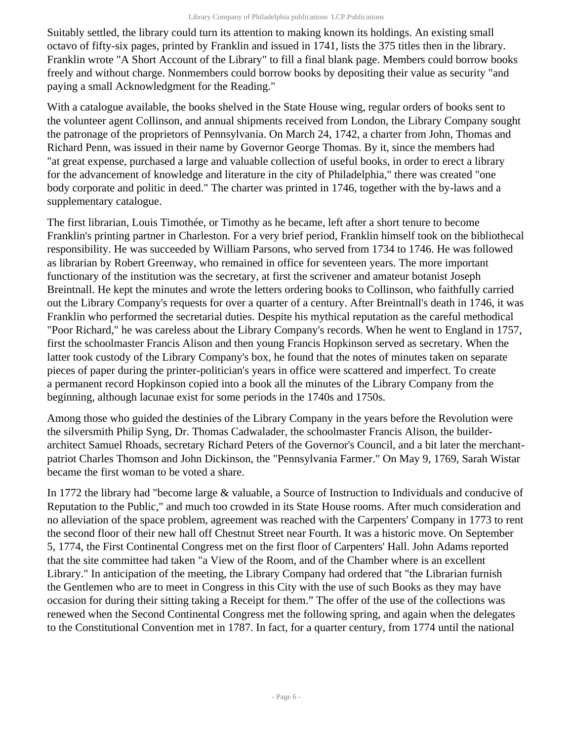Suitably settled, the library could turn its attention to making known its holdings. An existing small octavo of fifty-six pages, printed by Franklin and issued in 1741, lists the 375 titles then in the library. Franklin wrote "A Short Account of the Library" to fill a final blank page. Members could borrow books freely and without charge. Nonmembers could borrow books by depositing their value as security "and paying a small Acknowledgment for the Reading."

With a catalogue available, the books shelved in the State House wing, regular orders of books sent to the volunteer agent Collinson, and annual shipments received from London, the Library Company sought the patronage of the proprietors of Pennsylvania. On March 24, 1742, a charter from John, Thomas and Richard Penn, was issued in their name by Governor George Thomas. By it, since the members had "at great expense, purchased a large and valuable collection of useful books, in order to erect a library for the advancement of knowledge and literature in the city of Philadelphia," there was created "one body corporate and politic in deed." The charter was printed in 1746, together with the by-laws and a supplementary catalogue.

The first librarian, Louis Timothée, or Timothy as he became, left after a short tenure to become Franklin's printing partner in Charleston. For a very brief period, Franklin himself took on the bibliothecal responsibility. He was succeeded by William Parsons, who served from 1734 to 1746. He was followed as librarian by Robert Greenway, who remained in office for seventeen years. The more important functionary of the institution was the secretary, at first the scrivener and amateur botanist Joseph Breintnall. He kept the minutes and wrote the letters ordering books to Collinson, who faithfully carried out the Library Company's requests for over a quarter of a century. After Breintnall's death in 1746, it was Franklin who performed the secretarial duties. Despite his mythical reputation as the careful methodical "Poor Richard," he was careless about the Library Company's records. When he went to England in 1757, first the schoolmaster Francis Alison and then young Francis Hopkinson served as secretary. When the latter took custody of the Library Company's box, he found that the notes of minutes taken on separate pieces of paper during the printer-politician's years in office were scattered and imperfect. To create a permanent record Hopkinson copied into a book all the minutes of the Library Company from the beginning, although lacunae exist for some periods in the 1740s and 1750s.

Among those who guided the destinies of the Library Company in the years before the Revolution were the silversmith Philip Syng, Dr. Thomas Cadwalader, the schoolmaster Francis Alison, the builderarchitect Samuel Rhoads, secretary Richard Peters of the Governor's Council, and a bit later the merchantpatriot Charles Thomson and John Dickinson, the "Pennsylvania Farmer." On May 9, 1769, Sarah Wistar became the first woman to be voted a share.

In 1772 the library had "become large & valuable, a Source of Instruction to Individuals and conducive of Reputation to the Public," and much too crowded in its State House rooms. After much consideration and no alleviation of the space problem, agreement was reached with the Carpenters' Company in 1773 to rent the second floor of their new hall off Chestnut Street near Fourth. It was a historic move. On September 5, 1774, the First Continental Congress met on the first floor of Carpenters' Hall. John Adams reported that the site committee had taken "a View of the Room, and of the Chamber where is an excellent Library." In anticipation of the meeting, the Library Company had ordered that "the Librarian furnish the Gentlemen who are to meet in Congress in this City with the use of such Books as they may have occasion for during their sitting taking a Receipt for them." The offer of the use of the collections was renewed when the Second Continental Congress met the following spring, and again when the delegates to the Constitutional Convention met in 1787. In fact, for a quarter century, from 1774 until the national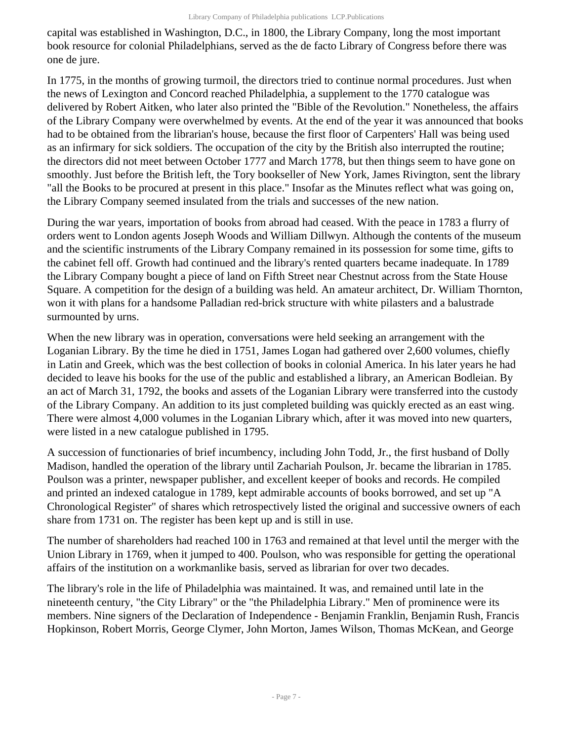capital was established in Washington, D.C., in 1800, the Library Company, long the most important book resource for colonial Philadelphians, served as the de facto Library of Congress before there was one de jure.

In 1775, in the months of growing turmoil, the directors tried to continue normal procedures. Just when the news of Lexington and Concord reached Philadelphia, a supplement to the 1770 catalogue was delivered by Robert Aitken, who later also printed the "Bible of the Revolution." Nonetheless, the affairs of the Library Company were overwhelmed by events. At the end of the year it was announced that books had to be obtained from the librarian's house, because the first floor of Carpenters' Hall was being used as an infirmary for sick soldiers. The occupation of the city by the British also interrupted the routine; the directors did not meet between October 1777 and March 1778, but then things seem to have gone on smoothly. Just before the British left, the Tory bookseller of New York, James Rivington, sent the library "all the Books to be procured at present in this place." Insofar as the Minutes reflect what was going on, the Library Company seemed insulated from the trials and successes of the new nation.

During the war years, importation of books from abroad had ceased. With the peace in 1783 a flurry of orders went to London agents Joseph Woods and William Dillwyn. Although the contents of the museum and the scientific instruments of the Library Company remained in its possession for some time, gifts to the cabinet fell off. Growth had continued and the library's rented quarters became inadequate. In 1789 the Library Company bought a piece of land on Fifth Street near Chestnut across from the State House Square. A competition for the design of a building was held. An amateur architect, Dr. William Thornton, won it with plans for a handsome Palladian red-brick structure with white pilasters and a balustrade surmounted by urns.

When the new library was in operation, conversations were held seeking an arrangement with the Loganian Library. By the time he died in 1751, James Logan had gathered over 2,600 volumes, chiefly in Latin and Greek, which was the best collection of books in colonial America. In his later years he had decided to leave his books for the use of the public and established a library, an American Bodleian. By an act of March 31, 1792, the books and assets of the Loganian Library were transferred into the custody of the Library Company. An addition to its just completed building was quickly erected as an east wing. There were almost 4,000 volumes in the Loganian Library which, after it was moved into new quarters, were listed in a new catalogue published in 1795.

A succession of functionaries of brief incumbency, including John Todd, Jr., the first husband of Dolly Madison, handled the operation of the library until Zachariah Poulson, Jr. became the librarian in 1785. Poulson was a printer, newspaper publisher, and excellent keeper of books and records. He compiled and printed an indexed catalogue in 1789, kept admirable accounts of books borrowed, and set up "A Chronological Register" of shares which retrospectively listed the original and successive owners of each share from 1731 on. The register has been kept up and is still in use.

The number of shareholders had reached 100 in 1763 and remained at that level until the merger with the Union Library in 1769, when it jumped to 400. Poulson, who was responsible for getting the operational affairs of the institution on a workmanlike basis, served as librarian for over two decades.

The library's role in the life of Philadelphia was maintained. It was, and remained until late in the nineteenth century, "the City Library" or the "the Philadelphia Library." Men of prominence were its members. Nine signers of the Declaration of Independence - Benjamin Franklin, Benjamin Rush, Francis Hopkinson, Robert Morris, George Clymer, John Morton, James Wilson, Thomas McKean, and George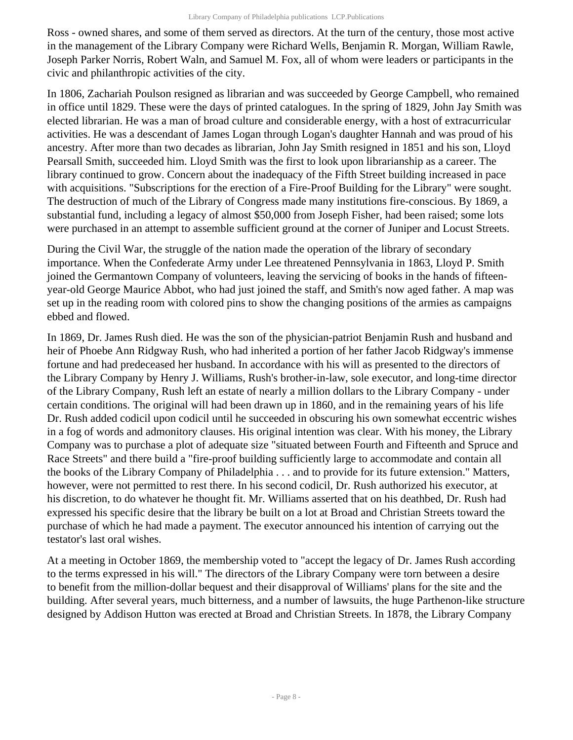Ross - owned shares, and some of them served as directors. At the turn of the century, those most active in the management of the Library Company were Richard Wells, Benjamin R. Morgan, William Rawle, Joseph Parker Norris, Robert Waln, and Samuel M. Fox, all of whom were leaders or participants in the civic and philanthropic activities of the city.

In 1806, Zachariah Poulson resigned as librarian and was succeeded by George Campbell, who remained in office until 1829. These were the days of printed catalogues. In the spring of 1829, John Jay Smith was elected librarian. He was a man of broad culture and considerable energy, with a host of extracurricular activities. He was a descendant of James Logan through Logan's daughter Hannah and was proud of his ancestry. After more than two decades as librarian, John Jay Smith resigned in 1851 and his son, Lloyd Pearsall Smith, succeeded him. Lloyd Smith was the first to look upon librarianship as a career. The library continued to grow. Concern about the inadequacy of the Fifth Street building increased in pace with acquisitions. "Subscriptions for the erection of a Fire-Proof Building for the Library" were sought. The destruction of much of the Library of Congress made many institutions fire-conscious. By 1869, a substantial fund, including a legacy of almost \$50,000 from Joseph Fisher, had been raised; some lots were purchased in an attempt to assemble sufficient ground at the corner of Juniper and Locust Streets.

During the Civil War, the struggle of the nation made the operation of the library of secondary importance. When the Confederate Army under Lee threatened Pennsylvania in 1863, Lloyd P. Smith joined the Germantown Company of volunteers, leaving the servicing of books in the hands of fifteenyear-old George Maurice Abbot, who had just joined the staff, and Smith's now aged father. A map was set up in the reading room with colored pins to show the changing positions of the armies as campaigns ebbed and flowed.

In 1869, Dr. James Rush died. He was the son of the physician-patriot Benjamin Rush and husband and heir of Phoebe Ann Ridgway Rush, who had inherited a portion of her father Jacob Ridgway's immense fortune and had predeceased her husband. In accordance with his will as presented to the directors of the Library Company by Henry J. Williams, Rush's brother-in-law, sole executor, and long-time director of the Library Company, Rush left an estate of nearly a million dollars to the Library Company - under certain conditions. The original will had been drawn up in 1860, and in the remaining years of his life Dr. Rush added codicil upon codicil until he succeeded in obscuring his own somewhat eccentric wishes in a fog of words and admonitory clauses. His original intention was clear. With his money, the Library Company was to purchase a plot of adequate size "situated between Fourth and Fifteenth and Spruce and Race Streets" and there build a "fire-proof building sufficiently large to accommodate and contain all the books of the Library Company of Philadelphia . . . and to provide for its future extension." Matters, however, were not permitted to rest there. In his second codicil, Dr. Rush authorized his executor, at his discretion, to do whatever he thought fit. Mr. Williams asserted that on his deathbed, Dr. Rush had expressed his specific desire that the library be built on a lot at Broad and Christian Streets toward the purchase of which he had made a payment. The executor announced his intention of carrying out the testator's last oral wishes.

At a meeting in October 1869, the membership voted to "accept the legacy of Dr. James Rush according to the terms expressed in his will." The directors of the Library Company were torn between a desire to benefit from the million-dollar bequest and their disapproval of Williams' plans for the site and the building. After several years, much bitterness, and a number of lawsuits, the huge Parthenon-like structure designed by Addison Hutton was erected at Broad and Christian Streets. In 1878, the Library Company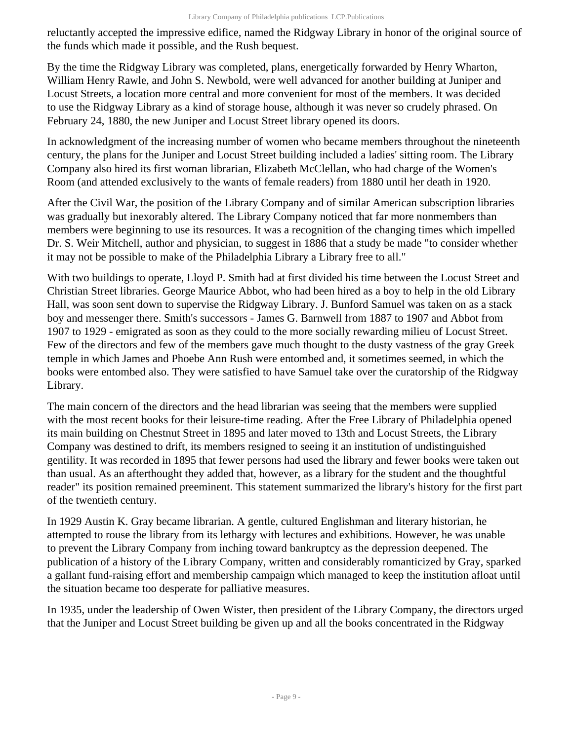reluctantly accepted the impressive edifice, named the Ridgway Library in honor of the original source of the funds which made it possible, and the Rush bequest.

By the time the Ridgway Library was completed, plans, energetically forwarded by Henry Wharton, William Henry Rawle, and John S. Newbold, were well advanced for another building at Juniper and Locust Streets, a location more central and more convenient for most of the members. It was decided to use the Ridgway Library as a kind of storage house, although it was never so crudely phrased. On February 24, 1880, the new Juniper and Locust Street library opened its doors.

In acknowledgment of the increasing number of women who became members throughout the nineteenth century, the plans for the Juniper and Locust Street building included a ladies' sitting room. The Library Company also hired its first woman librarian, Elizabeth McClellan, who had charge of the Women's Room (and attended exclusively to the wants of female readers) from 1880 until her death in 1920.

After the Civil War, the position of the Library Company and of similar American subscription libraries was gradually but inexorably altered. The Library Company noticed that far more nonmembers than members were beginning to use its resources. It was a recognition of the changing times which impelled Dr. S. Weir Mitchell, author and physician, to suggest in 1886 that a study be made "to consider whether it may not be possible to make of the Philadelphia Library a Library free to all."

With two buildings to operate, Lloyd P. Smith had at first divided his time between the Locust Street and Christian Street libraries. George Maurice Abbot, who had been hired as a boy to help in the old Library Hall, was soon sent down to supervise the Ridgway Library. J. Bunford Samuel was taken on as a stack boy and messenger there. Smith's successors - James G. Barnwell from 1887 to 1907 and Abbot from 1907 to 1929 - emigrated as soon as they could to the more socially rewarding milieu of Locust Street. Few of the directors and few of the members gave much thought to the dusty vastness of the gray Greek temple in which James and Phoebe Ann Rush were entombed and, it sometimes seemed, in which the books were entombed also. They were satisfied to have Samuel take over the curatorship of the Ridgway Library.

The main concern of the directors and the head librarian was seeing that the members were supplied with the most recent books for their leisure-time reading. After the Free Library of Philadelphia opened its main building on Chestnut Street in 1895 and later moved to 13th and Locust Streets, the Library Company was destined to drift, its members resigned to seeing it an institution of undistinguished gentility. It was recorded in 1895 that fewer persons had used the library and fewer books were taken out than usual. As an afterthought they added that, however, as a library for the student and the thoughtful reader" its position remained preeminent. This statement summarized the library's history for the first part of the twentieth century.

In 1929 Austin K. Gray became librarian. A gentle, cultured Englishman and literary historian, he attempted to rouse the library from its lethargy with lectures and exhibitions. However, he was unable to prevent the Library Company from inching toward bankruptcy as the depression deepened. The publication of a history of the Library Company, written and considerably romanticized by Gray, sparked a gallant fund-raising effort and membership campaign which managed to keep the institution afloat until the situation became too desperate for palliative measures.

In 1935, under the leadership of Owen Wister, then president of the Library Company, the directors urged that the Juniper and Locust Street building be given up and all the books concentrated in the Ridgway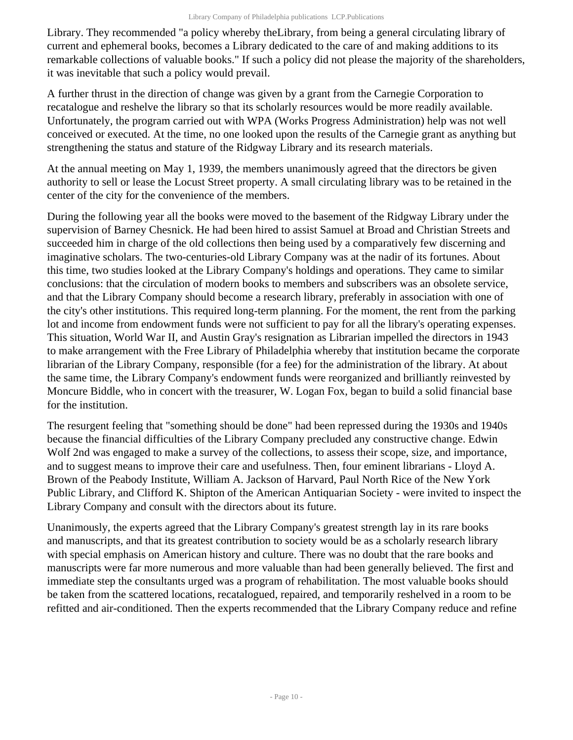Library. They recommended "a policy whereby theLibrary, from being a general circulating library of current and ephemeral books, becomes a Library dedicated to the care of and making additions to its remarkable collections of valuable books." If such a policy did not please the majority of the shareholders, it was inevitable that such a policy would prevail.

A further thrust in the direction of change was given by a grant from the Carnegie Corporation to recatalogue and reshelve the library so that its scholarly resources would be more readily available. Unfortunately, the program carried out with WPA (Works Progress Administration) help was not well conceived or executed. At the time, no one looked upon the results of the Carnegie grant as anything but strengthening the status and stature of the Ridgway Library and its research materials.

At the annual meeting on May 1, 1939, the members unanimously agreed that the directors be given authority to sell or lease the Locust Street property. A small circulating library was to be retained in the center of the city for the convenience of the members.

During the following year all the books were moved to the basement of the Ridgway Library under the supervision of Barney Chesnick. He had been hired to assist Samuel at Broad and Christian Streets and succeeded him in charge of the old collections then being used by a comparatively few discerning and imaginative scholars. The two-centuries-old Library Company was at the nadir of its fortunes. About this time, two studies looked at the Library Company's holdings and operations. They came to similar conclusions: that the circulation of modern books to members and subscribers was an obsolete service, and that the Library Company should become a research library, preferably in association with one of the city's other institutions. This required long-term planning. For the moment, the rent from the parking lot and income from endowment funds were not sufficient to pay for all the library's operating expenses. This situation, World War II, and Austin Gray's resignation as Librarian impelled the directors in 1943 to make arrangement with the Free Library of Philadelphia whereby that institution became the corporate librarian of the Library Company, responsible (for a fee) for the administration of the library. At about the same time, the Library Company's endowment funds were reorganized and brilliantly reinvested by Moncure Biddle, who in concert with the treasurer, W. Logan Fox, began to build a solid financial base for the institution.

The resurgent feeling that "something should be done" had been repressed during the 1930s and 1940s because the financial difficulties of the Library Company precluded any constructive change. Edwin Wolf 2nd was engaged to make a survey of the collections, to assess their scope, size, and importance, and to suggest means to improve their care and usefulness. Then, four eminent librarians - Lloyd A. Brown of the Peabody Institute, William A. Jackson of Harvard, Paul North Rice of the New York Public Library, and Clifford K. Shipton of the American Antiquarian Society - were invited to inspect the Library Company and consult with the directors about its future.

Unanimously, the experts agreed that the Library Company's greatest strength lay in its rare books and manuscripts, and that its greatest contribution to society would be as a scholarly research library with special emphasis on American history and culture. There was no doubt that the rare books and manuscripts were far more numerous and more valuable than had been generally believed. The first and immediate step the consultants urged was a program of rehabilitation. The most valuable books should be taken from the scattered locations, recatalogued, repaired, and temporarily reshelved in a room to be refitted and air-conditioned. Then the experts recommended that the Library Company reduce and refine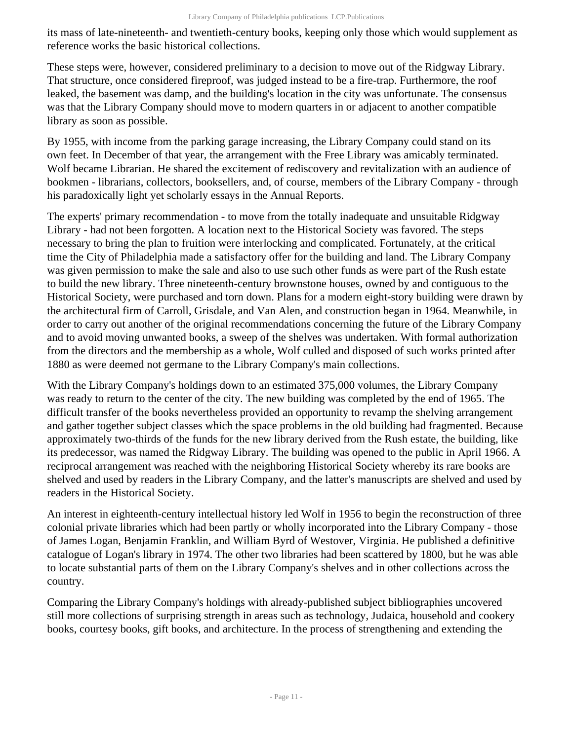its mass of late-nineteenth- and twentieth-century books, keeping only those which would supplement as reference works the basic historical collections.

These steps were, however, considered preliminary to a decision to move out of the Ridgway Library. That structure, once considered fireproof, was judged instead to be a fire-trap. Furthermore, the roof leaked, the basement was damp, and the building's location in the city was unfortunate. The consensus was that the Library Company should move to modern quarters in or adjacent to another compatible library as soon as possible.

By 1955, with income from the parking garage increasing, the Library Company could stand on its own feet. In December of that year, the arrangement with the Free Library was amicably terminated. Wolf became Librarian. He shared the excitement of rediscovery and revitalization with an audience of bookmen - librarians, collectors, booksellers, and, of course, members of the Library Company - through his paradoxically light yet scholarly essays in the Annual Reports.

The experts' primary recommendation - to move from the totally inadequate and unsuitable Ridgway Library - had not been forgotten. A location next to the Historical Society was favored. The steps necessary to bring the plan to fruition were interlocking and complicated. Fortunately, at the critical time the City of Philadelphia made a satisfactory offer for the building and land. The Library Company was given permission to make the sale and also to use such other funds as were part of the Rush estate to build the new library. Three nineteenth-century brownstone houses, owned by and contiguous to the Historical Society, were purchased and torn down. Plans for a modern eight-story building were drawn by the architectural firm of Carroll, Grisdale, and Van Alen, and construction began in 1964. Meanwhile, in order to carry out another of the original recommendations concerning the future of the Library Company and to avoid moving unwanted books, a sweep of the shelves was undertaken. With formal authorization from the directors and the membership as a whole, Wolf culled and disposed of such works printed after 1880 as were deemed not germane to the Library Company's main collections.

With the Library Company's holdings down to an estimated 375,000 volumes, the Library Company was ready to return to the center of the city. The new building was completed by the end of 1965. The difficult transfer of the books nevertheless provided an opportunity to revamp the shelving arrangement and gather together subject classes which the space problems in the old building had fragmented. Because approximately two-thirds of the funds for the new library derived from the Rush estate, the building, like its predecessor, was named the Ridgway Library. The building was opened to the public in April 1966. A reciprocal arrangement was reached with the neighboring Historical Society whereby its rare books are shelved and used by readers in the Library Company, and the latter's manuscripts are shelved and used by readers in the Historical Society.

An interest in eighteenth-century intellectual history led Wolf in 1956 to begin the reconstruction of three colonial private libraries which had been partly or wholly incorporated into the Library Company - those of James Logan, Benjamin Franklin, and William Byrd of Westover, Virginia. He published a definitive catalogue of Logan's library in 1974. The other two libraries had been scattered by 1800, but he was able to locate substantial parts of them on the Library Company's shelves and in other collections across the country.

Comparing the Library Company's holdings with already-published subject bibliographies uncovered still more collections of surprising strength in areas such as technology, Judaica, household and cookery books, courtesy books, gift books, and architecture. In the process of strengthening and extending the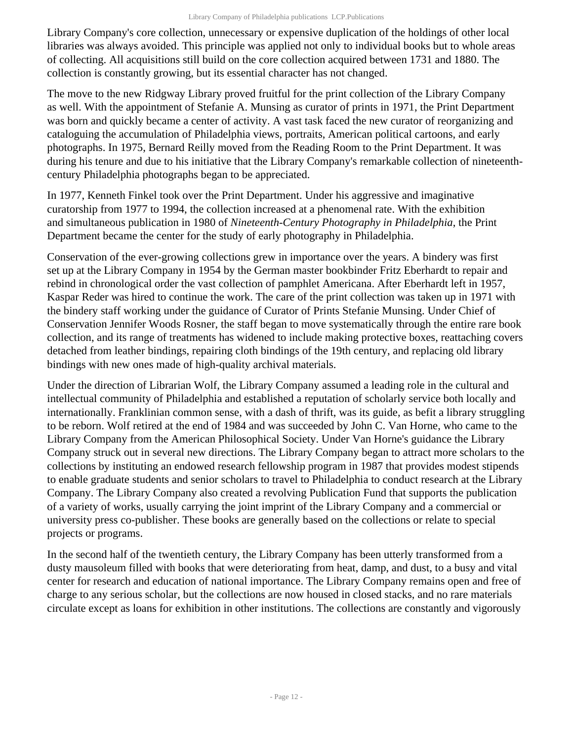Library Company's core collection, unnecessary or expensive duplication of the holdings of other local libraries was always avoided. This principle was applied not only to individual books but to whole areas of collecting. All acquisitions still build on the core collection acquired between 1731 and 1880. The collection is constantly growing, but its essential character has not changed.

The move to the new Ridgway Library proved fruitful for the print collection of the Library Company as well. With the appointment of Stefanie A. Munsing as curator of prints in 1971, the Print Department was born and quickly became a center of activity. A vast task faced the new curator of reorganizing and cataloguing the accumulation of Philadelphia views, portraits, American political cartoons, and early photographs. In 1975, Bernard Reilly moved from the Reading Room to the Print Department. It was during his tenure and due to his initiative that the Library Company's remarkable collection of nineteenthcentury Philadelphia photographs began to be appreciated.

In 1977, Kenneth Finkel took over the Print Department. Under his aggressive and imaginative curatorship from 1977 to 1994, the collection increased at a phenomenal rate. With the exhibition and simultaneous publication in 1980 of *Nineteenth-Century Photography in Philadelphia*, the Print Department became the center for the study of early photography in Philadelphia.

Conservation of the ever-growing collections grew in importance over the years. A bindery was first set up at the Library Company in 1954 by the German master bookbinder Fritz Eberhardt to repair and rebind in chronological order the vast collection of pamphlet Americana. After Eberhardt left in 1957, Kaspar Reder was hired to continue the work. The care of the print collection was taken up in 1971 with the bindery staff working under the guidance of Curator of Prints Stefanie Munsing. Under Chief of Conservation Jennifer Woods Rosner, the staff began to move systematically through the entire rare book collection, and its range of treatments has widened to include making protective boxes, reattaching covers detached from leather bindings, repairing cloth bindings of the 19th century, and replacing old library bindings with new ones made of high-quality archival materials.

Under the direction of Librarian Wolf, the Library Company assumed a leading role in the cultural and intellectual community of Philadelphia and established a reputation of scholarly service both locally and internationally. Franklinian common sense, with a dash of thrift, was its guide, as befit a library struggling to be reborn. Wolf retired at the end of 1984 and was succeeded by John C. Van Horne, who came to the Library Company from the American Philosophical Society. Under Van Horne's guidance the Library Company struck out in several new directions. The Library Company began to attract more scholars to the collections by instituting an endowed research fellowship program in 1987 that provides modest stipends to enable graduate students and senior scholars to travel to Philadelphia to conduct research at the Library Company. The Library Company also created a revolving Publication Fund that supports the publication of a variety of works, usually carrying the joint imprint of the Library Company and a commercial or university press co-publisher. These books are generally based on the collections or relate to special projects or programs.

In the second half of the twentieth century, the Library Company has been utterly transformed from a dusty mausoleum filled with books that were deteriorating from heat, damp, and dust, to a busy and vital center for research and education of national importance. The Library Company remains open and free of charge to any serious scholar, but the collections are now housed in closed stacks, and no rare materials circulate except as loans for exhibition in other institutions. The collections are constantly and vigorously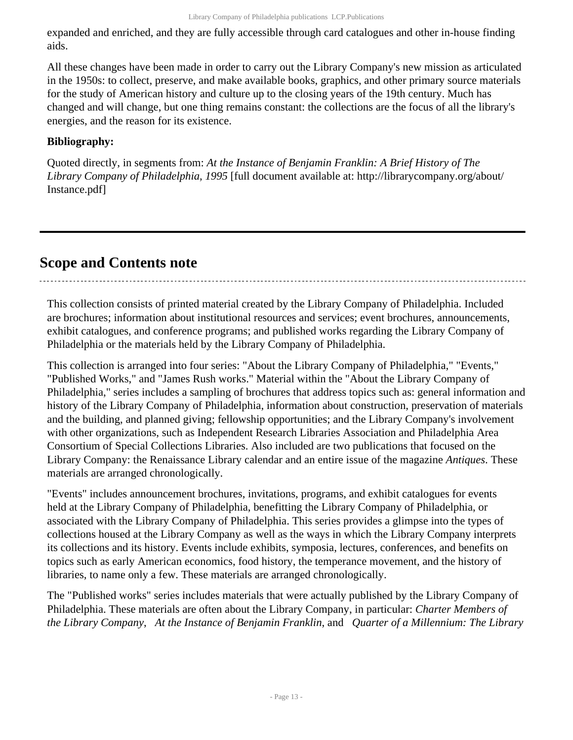expanded and enriched, and they are fully accessible through card catalogues and other in-house finding aids.

All these changes have been made in order to carry out the Library Company's new mission as articulated in the 1950s: to collect, preserve, and make available books, graphics, and other primary source materials for the study of American history and culture up to the closing years of the 19th century. Much has changed and will change, but one thing remains constant: the collections are the focus of all the library's energies, and the reason for its existence.

#### **Bibliography:**

Quoted directly, in segments from: *At the Instance of Benjamin Franklin: A Brief History of The Library Company of Philadelphia, 1995* [full document available at: http://librarycompany.org/about/ Instance.pdf]

## <span id="page-12-0"></span>**Scope and Contents note**

This collection consists of printed material created by the Library Company of Philadelphia. Included are brochures; information about institutional resources and services; event brochures, announcements, exhibit catalogues, and conference programs; and published works regarding the Library Company of Philadelphia or the materials held by the Library Company of Philadelphia.

This collection is arranged into four series: "About the Library Company of Philadelphia," "Events," "Published Works," and "James Rush works." Material within the "About the Library Company of Philadelphia," series includes a sampling of brochures that address topics such as: general information and history of the Library Company of Philadelphia, information about construction, preservation of materials and the building, and planned giving; fellowship opportunities; and the Library Company's involvement with other organizations, such as Independent Research Libraries Association and Philadelphia Area Consortium of Special Collections Libraries. Also included are two publications that focused on the Library Company: the Renaissance Library calendar and an entire issue of the magazine *Antiques*. These materials are arranged chronologically.

"Events" includes announcement brochures, invitations, programs, and exhibit catalogues for events held at the Library Company of Philadelphia, benefitting the Library Company of Philadelphia, or associated with the Library Company of Philadelphia. This series provides a glimpse into the types of collections housed at the Library Company as well as the ways in which the Library Company interprets its collections and its history. Events include exhibits, symposia, lectures, conferences, and benefits on topics such as early American economics, food history, the temperance movement, and the history of libraries, to name only a few. These materials are arranged chronologically.

The "Published works" series includes materials that were actually published by the Library Company of Philadelphia. These materials are often about the Library Company, in particular: *Charter Members of the Library Company*, *At the Instance of Benjamin Franklin*, and *Quarter of a Millennium: The Library*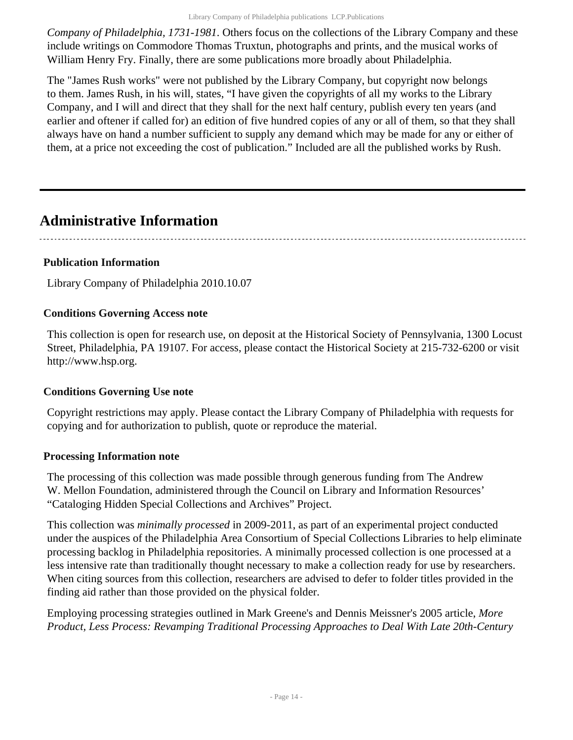*Company of Philadelphia, 1731-1981*. Others focus on the collections of the Library Company and these include writings on Commodore Thomas Truxtun, photographs and prints, and the musical works of William Henry Fry. Finally, there are some publications more broadly about Philadelphia.

The "James Rush works" were not published by the Library Company, but copyright now belongs to them. James Rush, in his will, states, "I have given the copyrights of all my works to the Library Company, and I will and direct that they shall for the next half century, publish every ten years (and earlier and oftener if called for) an edition of five hundred copies of any or all of them, so that they shall always have on hand a number sufficient to supply any demand which may be made for any or either of them, at a price not exceeding the cost of publication." Included are all the published works by Rush.

## <span id="page-13-0"></span>**Administrative Information**

**Publication Information**

Library Company of Philadelphia 2010.10.07

#### **Conditions Governing Access note**

This collection is open for research use, on deposit at the Historical Society of Pennsylvania, 1300 Locust Street, Philadelphia, PA 19107. For access, please contact the Historical Society at 215-732-6200 or visit http://www.hsp.org.

#### **Conditions Governing Use note**

Copyright restrictions may apply. Please contact the Library Company of Philadelphia with requests for copying and for authorization to publish, quote or reproduce the material.

#### **Processing Information note**

The processing of this collection was made possible through generous funding from The Andrew W. Mellon Foundation, administered through the Council on Library and Information Resources' "Cataloging Hidden Special Collections and Archives" Project.

This collection was *minimally processed* in 2009-2011, as part of an experimental project conducted under the auspices of the Philadelphia Area Consortium of Special Collections Libraries to help eliminate processing backlog in Philadelphia repositories. A minimally processed collection is one processed at a less intensive rate than traditionally thought necessary to make a collection ready for use by researchers. When citing sources from this collection, researchers are advised to defer to folder titles provided in the finding aid rather than those provided on the physical folder.

Employing processing strategies outlined in Mark Greene's and Dennis Meissner's 2005 article, *More Product, Less Process: Revamping Traditional Processing Approaches to Deal With Late 20th-Century*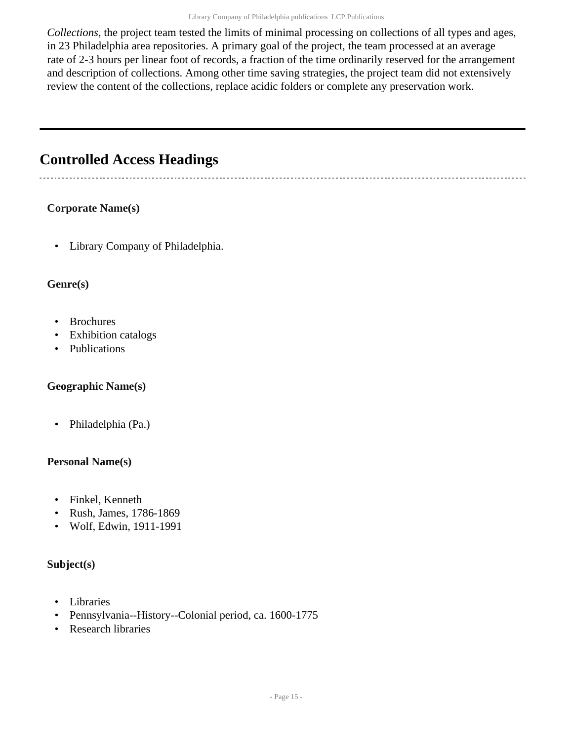*Collections*, the project team tested the limits of minimal processing on collections of all types and ages, in 23 Philadelphia area repositories. A primary goal of the project, the team processed at an average rate of 2-3 hours per linear foot of records, a fraction of the time ordinarily reserved for the arrangement and description of collections. Among other time saving strategies, the project team did not extensively review the content of the collections, replace acidic folders or complete any preservation work.

### <span id="page-14-0"></span>**Controlled Access Headings**

#### **Corporate Name(s)**

• Library Company of Philadelphia.

#### **Genre(s)**

- Brochures
- Exhibition catalogs
- Publications

#### **Geographic Name(s)**

• Philadelphia (Pa.)

#### **Personal Name(s)**

- Finkel, Kenneth
- Rush, James, 1786-1869
- Wolf, Edwin, 1911-1991

#### **Subject(s)**

- Libraries
- Pennsylvania--History--Colonial period, ca. 1600-1775
- Research libraries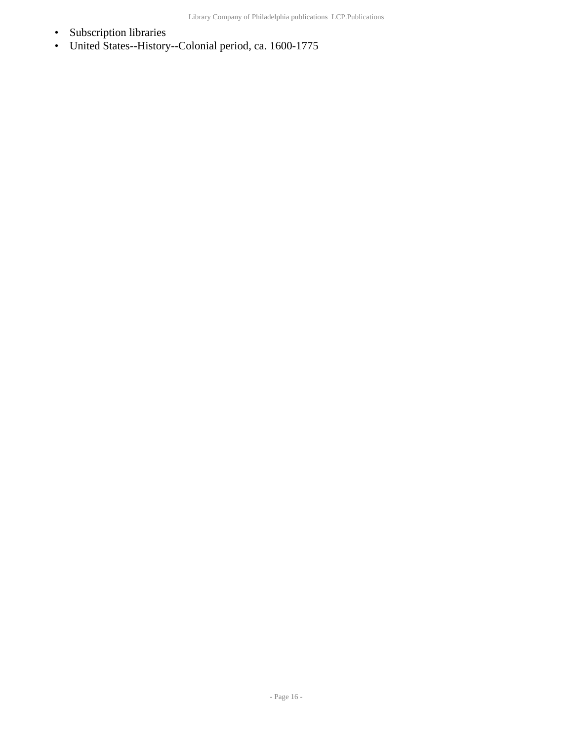- Subscription libraries
- United States--History--Colonial period, ca. 1600-1775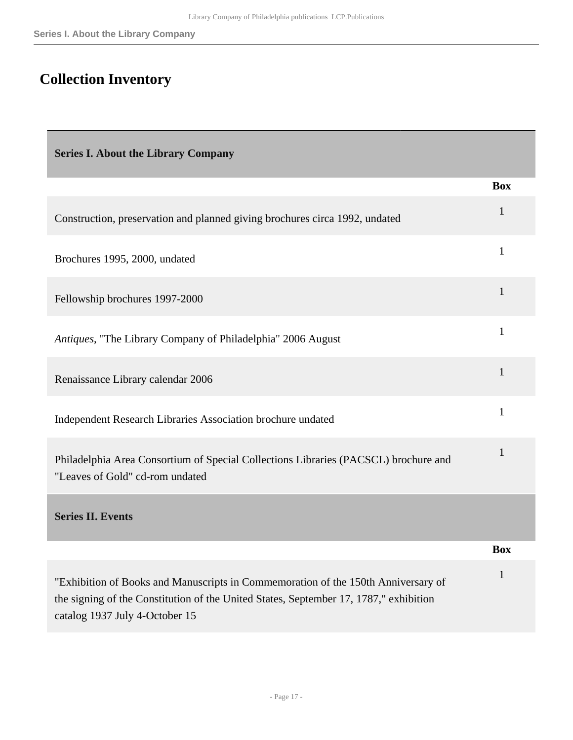## <span id="page-16-0"></span>**Collection Inventory**

<span id="page-16-2"></span><span id="page-16-1"></span>

| <b>Series I. About the Library Company</b>                                                                                                                                                                   |              |
|--------------------------------------------------------------------------------------------------------------------------------------------------------------------------------------------------------------|--------------|
|                                                                                                                                                                                                              | <b>Box</b>   |
| Construction, preservation and planned giving brochures circa 1992, undated                                                                                                                                  | 1            |
| Brochures 1995, 2000, undated                                                                                                                                                                                | 1            |
| Fellowship brochures 1997-2000                                                                                                                                                                               | $\mathbf{1}$ |
| Antiques, "The Library Company of Philadelphia" 2006 August                                                                                                                                                  | $\mathbf{1}$ |
| Renaissance Library calendar 2006                                                                                                                                                                            | $\mathbf{1}$ |
| Independent Research Libraries Association brochure undated                                                                                                                                                  | $\mathbf{1}$ |
| Philadelphia Area Consortium of Special Collections Libraries (PACSCL) brochure and<br>"Leaves of Gold" cd-rom undated                                                                                       | 1            |
| <b>Series II. Events</b>                                                                                                                                                                                     |              |
|                                                                                                                                                                                                              | <b>Box</b>   |
| "Exhibition of Books and Manuscripts in Commemoration of the 150th Anniversary of<br>the signing of the Constitution of the United States, September 17, 1787," exhibition<br>catalog 1937 July 4-October 15 | $\mathbf{1}$ |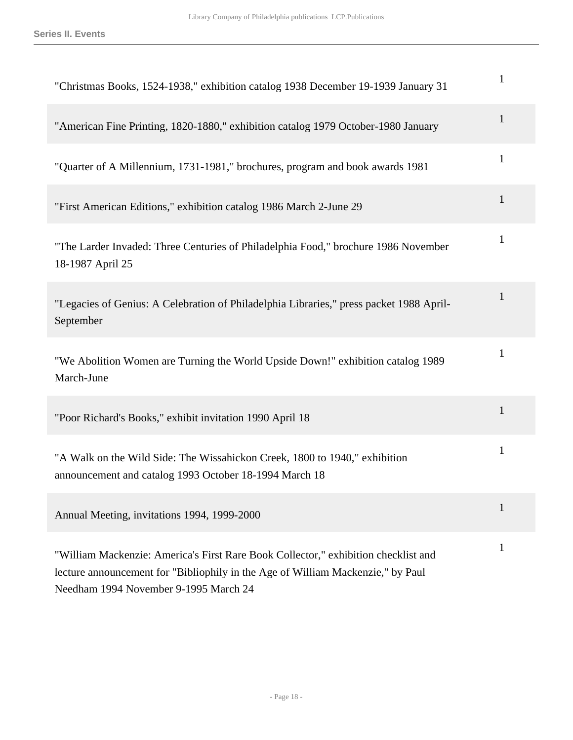| "Christmas Books, 1524-1938," exhibition catalog 1938 December 19-1939 January 31                                                                                                                              | $\mathbf{1}$ |
|----------------------------------------------------------------------------------------------------------------------------------------------------------------------------------------------------------------|--------------|
| "American Fine Printing, 1820-1880," exhibition catalog 1979 October-1980 January                                                                                                                              | 1            |
| "Quarter of A Millennium, 1731-1981," brochures, program and book awards 1981                                                                                                                                  | 1            |
| "First American Editions," exhibition catalog 1986 March 2-June 29                                                                                                                                             | $\mathbf{1}$ |
| "The Larder Invaded: Three Centuries of Philadelphia Food," brochure 1986 November<br>18-1987 April 25                                                                                                         | 1            |
| "Legacies of Genius: A Celebration of Philadelphia Libraries," press packet 1988 April-<br>September                                                                                                           | $\mathbf{1}$ |
| "We Abolition Women are Turning the World Upside Down!" exhibition catalog 1989<br>March-June                                                                                                                  | 1            |
| "Poor Richard's Books," exhibit invitation 1990 April 18                                                                                                                                                       | 1            |
| "A Walk on the Wild Side: The Wissahickon Creek, 1800 to 1940," exhibition<br>announcement and catalog 1993 October 18-1994 March 18                                                                           | 1            |
| Annual Meeting, invitations 1994, 1999-2000                                                                                                                                                                    | $\mathbf{1}$ |
| "William Mackenzie: America's First Rare Book Collector," exhibition checklist and<br>lecture announcement for "Bibliophily in the Age of William Mackenzie," by Paul<br>Needham 1994 November 9-1995 March 24 | 1            |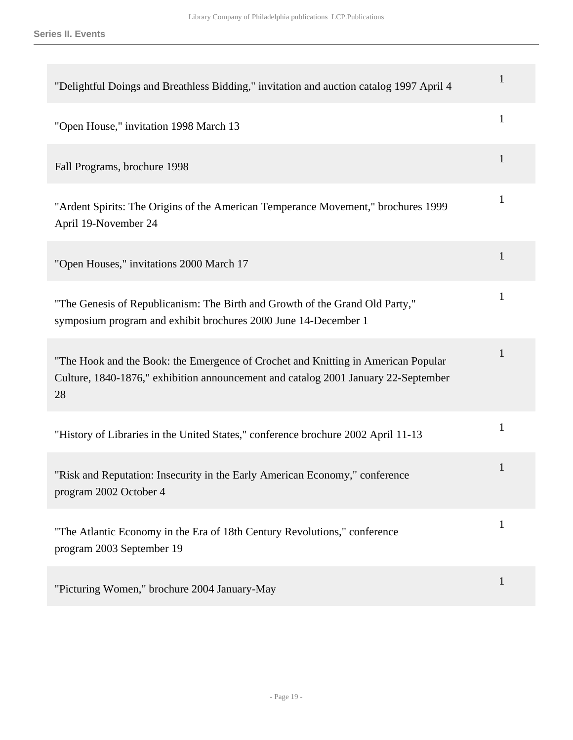| "Delightful Doings and Breathless Bidding," invitation and auction catalog 1997 April 4                                                                                       | $\mathbf{1}$ |
|-------------------------------------------------------------------------------------------------------------------------------------------------------------------------------|--------------|
| "Open House," invitation 1998 March 13                                                                                                                                        | 1            |
| Fall Programs, brochure 1998                                                                                                                                                  | $\mathbf{1}$ |
| "Ardent Spirits: The Origins of the American Temperance Movement," brochures 1999<br>April 19-November 24                                                                     | 1            |
| "Open Houses," invitations 2000 March 17                                                                                                                                      | 1            |
| "The Genesis of Republicanism: The Birth and Growth of the Grand Old Party,"<br>symposium program and exhibit brochures 2000 June 14-December 1                               | 1            |
| "The Hook and the Book: the Emergence of Crochet and Knitting in American Popular<br>Culture, 1840-1876," exhibition announcement and catalog 2001 January 22-September<br>28 | 1            |
| "History of Libraries in the United States," conference brochure 2002 April 11-13                                                                                             | 1            |
| "Risk and Reputation: Insecurity in the Early American Economy," conference<br>program 2002 October 4                                                                         | $\mathbf{1}$ |
| "The Atlantic Economy in the Era of 18th Century Revolutions," conference<br>program 2003 September 19                                                                        | 1            |
| "Picturing Women," brochure 2004 January-May                                                                                                                                  | 1            |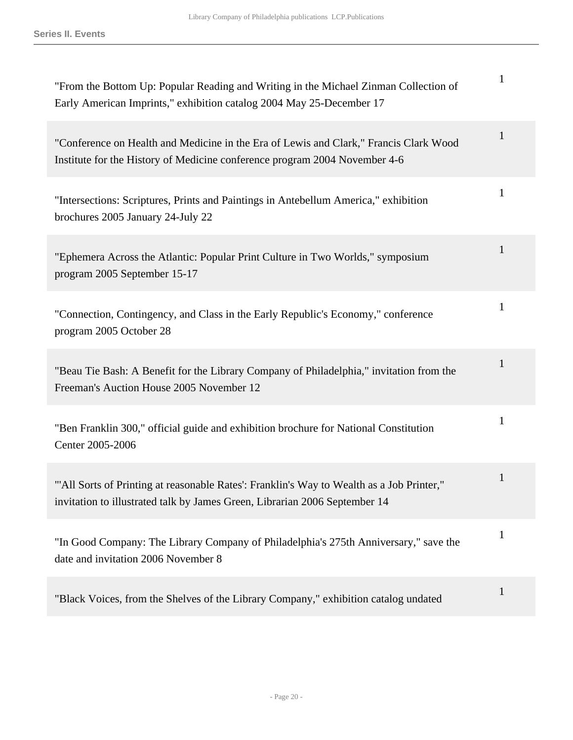| "From the Bottom Up: Popular Reading and Writing in the Michael Zinman Collection of<br>Early American Imprints," exhibition catalog 2004 May 25-December 17            | $\mathbf{1}$ |
|-------------------------------------------------------------------------------------------------------------------------------------------------------------------------|--------------|
| "Conference on Health and Medicine in the Era of Lewis and Clark," Francis Clark Wood<br>Institute for the History of Medicine conference program 2004 November 4-6     | $\mathbf{1}$ |
| "Intersections: Scriptures, Prints and Paintings in Antebellum America," exhibition<br>brochures 2005 January 24-July 22                                                | $\mathbf{1}$ |
| "Ephemera Across the Atlantic: Popular Print Culture in Two Worlds," symposium<br>program 2005 September 15-17                                                          | 1            |
| "Connection, Contingency, and Class in the Early Republic's Economy," conference<br>program 2005 October 28                                                             | 1            |
| "Beau Tie Bash: A Benefit for the Library Company of Philadelphia," invitation from the<br>Freeman's Auction House 2005 November 12                                     | $\mathbf{1}$ |
| "Ben Franklin 300," official guide and exhibition brochure for National Constitution<br>Center 2005-2006                                                                | 1            |
| "'All Sorts of Printing at reasonable Rates': Franklin's Way to Wealth as a Job Printer,"<br>invitation to illustrated talk by James Green, Librarian 2006 September 14 | $\mathbf{1}$ |
| "In Good Company: The Library Company of Philadelphia's 275th Anniversary," save the<br>date and invitation 2006 November 8                                             | $\mathbf{1}$ |
| "Black Voices, from the Shelves of the Library Company," exhibition catalog undated                                                                                     | 1            |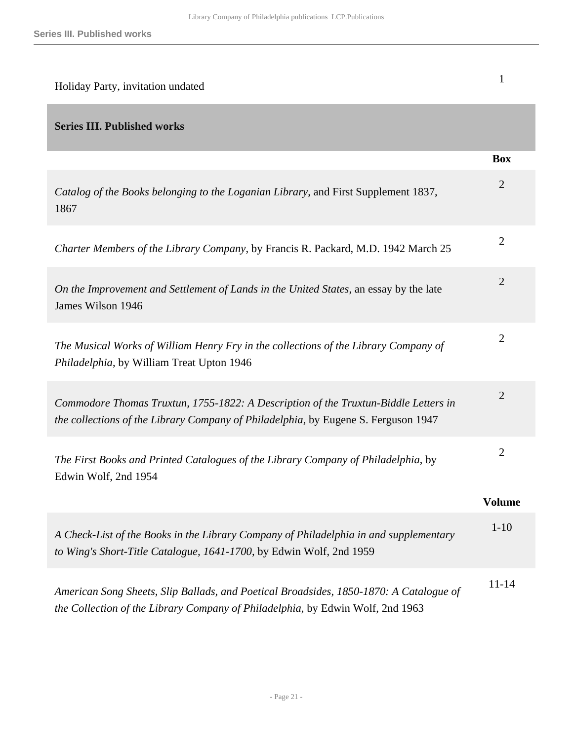# <span id="page-20-0"></span>Holiday Party, invitation undated 1 **Series III. Published works Box** *Catalog of the Books belonging to the Loganian Library*, and First Supplement 1837, 1867 2 *Charter Members of the Library Company*, by Francis R. Packard, M.D. 1942 March 25 <sup>2</sup> *On the Improvement and Settlement of Lands in the United States*, an essay by the late James Wilson 1946 2 *The Musical Works of William Henry Fry in the collections of the Library Company of Philadelphia*, by William Treat Upton 1946 2 *Commodore Thomas Truxtun, 1755-1822: A Description of the Truxtun-Biddle Letters in the collections of the Library Company of Philadelphia*, by Eugene S. Ferguson 1947 2 *The First Books and Printed Catalogues of the Library Company of Philadelphia*, by Edwin Wolf, 2nd 1954 2 **Volume** *A Check-List of the Books in the Library Company of Philadelphia in and supplementary to Wing's Short-Title Catalogue, 1641-1700*, by Edwin Wolf, 2nd 1959 1-10 *American Song Sheets, Slip Ballads, and Poetical Broadsides, 1850-1870: A Catalogue of the Collection of the Library Company of Philadelphia*, by Edwin Wolf, 2nd 1963 11-14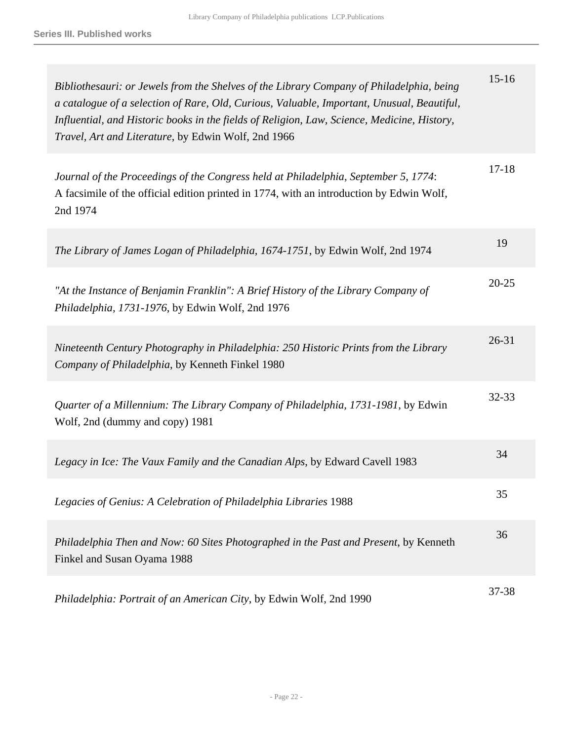| Bibliothesauri: or Jewels from the Shelves of the Library Company of Philadelphia, being<br>a catalogue of a selection of Rare, Old, Curious, Valuable, Important, Unusual, Beautiful,<br>Influential, and Historic books in the fields of Religion, Law, Science, Medicine, History,<br>Travel, Art and Literature, by Edwin Wolf, 2nd 1966 | $15-16$   |
|----------------------------------------------------------------------------------------------------------------------------------------------------------------------------------------------------------------------------------------------------------------------------------------------------------------------------------------------|-----------|
| Journal of the Proceedings of the Congress held at Philadelphia, September 5, 1774:<br>A facsimile of the official edition printed in 1774, with an introduction by Edwin Wolf,<br>2nd 1974                                                                                                                                                  | $17 - 18$ |
| The Library of James Logan of Philadelphia, 1674-1751, by Edwin Wolf, 2nd 1974                                                                                                                                                                                                                                                               | 19        |
| "At the Instance of Benjamin Franklin": A Brief History of the Library Company of<br>Philadelphia, 1731-1976, by Edwin Wolf, 2nd 1976                                                                                                                                                                                                        | $20 - 25$ |
| Nineteenth Century Photography in Philadelphia: 250 Historic Prints from the Library<br>Company of Philadelphia, by Kenneth Finkel 1980                                                                                                                                                                                                      | $26 - 31$ |
| Quarter of a Millennium: The Library Company of Philadelphia, 1731-1981, by Edwin<br>Wolf, 2nd (dummy and copy) 1981                                                                                                                                                                                                                         | 32-33     |
| Legacy in Ice: The Vaux Family and the Canadian Alps, by Edward Cavell 1983                                                                                                                                                                                                                                                                  | 34        |
| Legacies of Genius: A Celebration of Philadelphia Libraries 1988                                                                                                                                                                                                                                                                             | 35        |
| Philadelphia Then and Now: 60 Sites Photographed in the Past and Present, by Kenneth<br>Finkel and Susan Oyama 1988                                                                                                                                                                                                                          | 36        |
| Philadelphia: Portrait of an American City, by Edwin Wolf, 2nd 1990                                                                                                                                                                                                                                                                          | 37-38     |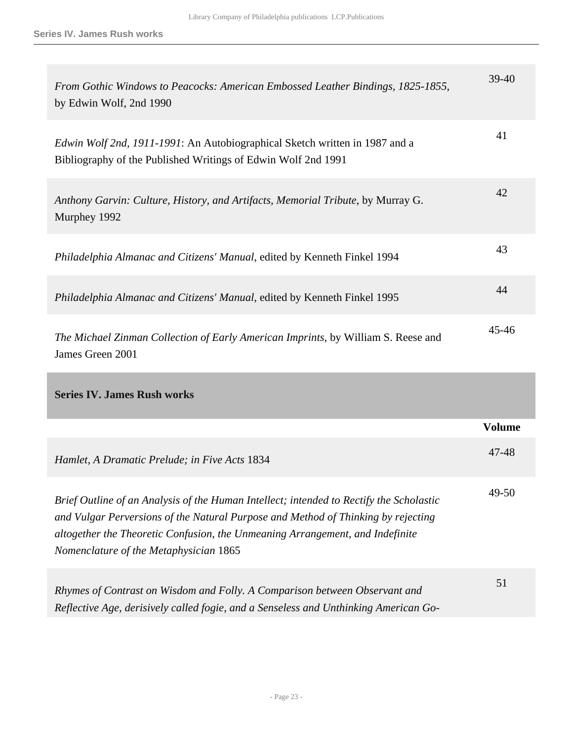<span id="page-22-0"></span>

| From Gothic Windows to Peacocks: American Embossed Leather Bindings, 1825-1855,<br>by Edwin Wolf, 2nd 1990                                                                                                                                                                                              | 39-40         |
|---------------------------------------------------------------------------------------------------------------------------------------------------------------------------------------------------------------------------------------------------------------------------------------------------------|---------------|
| <i>Edwin Wolf 2nd, 1911-1991</i> : An Autobiographical Sketch written in 1987 and a<br>Bibliography of the Published Writings of Edwin Wolf 2nd 1991                                                                                                                                                    | 41            |
| Anthony Garvin: Culture, History, and Artifacts, Memorial Tribute, by Murray G.<br>Murphey 1992                                                                                                                                                                                                         | 42            |
| Philadelphia Almanac and Citizens' Manual, edited by Kenneth Finkel 1994                                                                                                                                                                                                                                | 43            |
| Philadelphia Almanac and Citizens' Manual, edited by Kenneth Finkel 1995                                                                                                                                                                                                                                | 44            |
| The Michael Zinman Collection of Early American Imprints, by William S. Reese and<br>James Green 2001                                                                                                                                                                                                   | $45 - 46$     |
| <b>Series IV. James Rush works</b>                                                                                                                                                                                                                                                                      |               |
|                                                                                                                                                                                                                                                                                                         | <b>Volume</b> |
| Hamlet, A Dramatic Prelude; in Five Acts 1834                                                                                                                                                                                                                                                           | 47-48         |
| Brief Outline of an Analysis of the Human Intellect; intended to Rectify the Scholastic<br>and Vulgar Perversions of the Natural Purpose and Method of Thinking by rejecting<br>altogether the Theoretic Confusion, the Unmeaning Arrangement, and Indefinite<br>Nomenclature of the Metaphysician 1865 | 49-50         |
| Rhymes of Contrast on Wisdom and Folly. A Comparison between Observant and<br>Reflective Age, derisively called fogie, and a Senseless and Unthinking American Go-                                                                                                                                      | 51            |